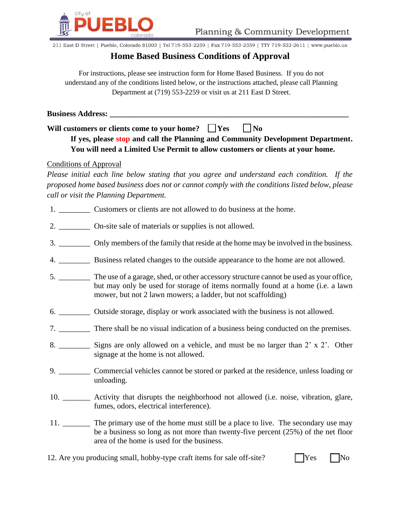

211 East D Street | Pueblo, Colorado 81003 | Tel 719-553-2259 | Fax 719-553-2359 | TTY 719-553-2611 | www.pueblo.us

## **Home Based Business Conditions of Approval**

For instructions, please see instruction form for Home Based Business. If you do not understand any of the conditions listed below, or the instructions attached, please call Planning Department at (719) 553-2259 or visit us at 211 East D Street.

**Business Address: \_\_\_\_\_\_\_\_\_\_\_\_\_\_\_\_\_\_\_\_\_\_\_\_\_\_\_\_\_\_\_\_\_\_\_\_\_\_\_\_\_\_\_\_\_\_\_\_\_\_\_\_\_\_\_\_\_\_\_\_\_**

Will customers or clients come to your home?  $\Box$  Yes  $\Box$  No

## **If yes, please stop and call the Planning and Community Development Department. You will need a Limited Use Permit to allow customers or clients at your home.**

## Conditions of Approval

*Please initial each line below stating that you agree and understand each condition. If the proposed home based business does not or cannot comply with the conditions listed below, please call or visit the Planning Department.*

- 1. \_\_\_\_\_\_\_\_\_\_\_\_ Customers or clients are not allowed to do business at the home.
- 2. \_\_\_\_\_\_\_\_ On-site sale of materials or supplies is not allowed.
- 3. \_\_\_\_\_\_\_\_ Only members of the family that reside at the home may be involved in the business.
- 4. \_\_\_\_\_\_\_\_ Business related changes to the outside appearance to the home are not allowed.
- 5. \_\_\_\_\_\_\_\_ The use of a garage, shed, or other accessory structure cannot be used as your office, but may only be used for storage of items normally found at a home (i.e. a lawn mower, but not 2 lawn mowers; a ladder, but not scaffolding)
- 6. \_\_\_\_\_\_\_\_ Outside storage, display or work associated with the business is not allowed.
- 7. There shall be no visual indication of a business being conducted on the premises.
- 8. Signs are only allowed on a vehicle, and must be no larger than 2' x 2'. Other signage at the home is not allowed.
- 9. \_\_\_\_\_\_\_\_ Commercial vehicles cannot be stored or parked at the residence, unless loading or unloading.
- 10. \_\_\_\_\_\_\_ Activity that disrupts the neighborhood not allowed (i.e. noise, vibration, glare, fumes, odors, electrical interference).
- 11. \_\_\_\_\_\_\_ The primary use of the home must still be a place to live. The secondary use may be a business so long as not more than twenty-five percent (25%) of the net floor area of the home is used for the business.
- 12. Are you producing small, hobby-type craft items for sale off-site?  $\Box$  Yes  $\Box$  No